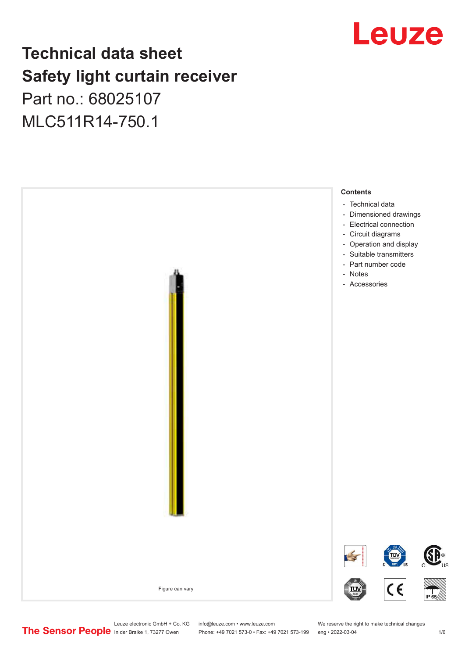## Leuze

## **Technical data sheet Safety light curtain receiver**

Part no.: 68025107 MLC511R14-750.1



Leuze electronic GmbH + Co. KG info@leuze.com • www.leuze.com We reserve the right to make technical changes<br>
The Sensor People in der Braike 1, 73277 Owen Phone: +49 7021 573-0 • Fax: +49 7021 573-199 eng • 2022-03-04

Phone: +49 7021 573-0 • Fax: +49 7021 573-199 eng • 2022-03-04 1 metal is a man at the 1/6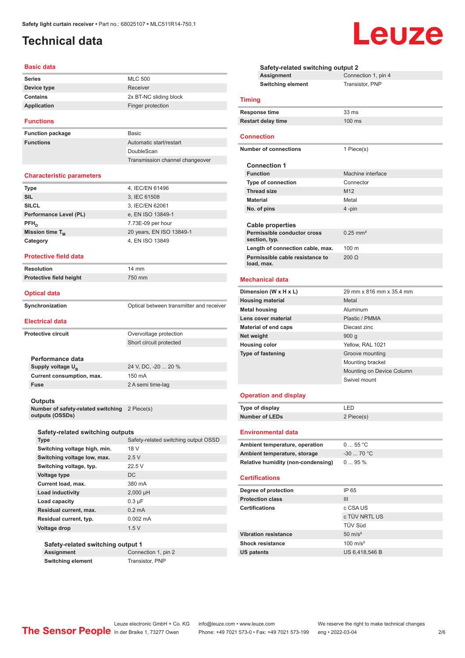## <span id="page-1-0"></span>**Technical data**

#### **Basic data**

#### **Functions**

**Function package** Basic **Functions** 

| Basic:                          |
|---------------------------------|
| Automatic start/restart         |
| DoubleScan                      |
| Transmission channel changeover |

#### **Characteristic parameters**

| <b>Type</b>            | 4, IEC/EN 61496          |
|------------------------|--------------------------|
| <b>SIL</b>             | 3, IEC 61508             |
| <b>SILCL</b>           | 3, IEC/EN 62061          |
| Performance Level (PL) | e, EN ISO 13849-1        |
| $PFH_n$                | 7.73E-09 per hour        |
| Mission time $T_M$     | 20 years, EN ISO 13849-1 |
| Category               | 4, EN ISO 13849          |
|                        |                          |

#### **Protective field data**

| Resolution              | $14 \text{ mm}$ |
|-------------------------|-----------------|
| Protective field height | 750 mm          |
|                         |                 |

#### **Optical data**

**Synchronization Synchronization Optical between transmitter and receiver** 

#### **Electrical data**

| <b>Protective circuit</b> |                            | Overvoltage protection  |
|---------------------------|----------------------------|-------------------------|
|                           |                            | Short circuit protected |
|                           |                            |                         |
|                           | Performance data           |                         |
|                           | Supply voltage $U_{\rm B}$ | 24 V, DC, -20  20 %     |
|                           | Current consumption, max.  | 150 mA                  |
|                           | <b>Fuse</b>                | 2 A semi time-lag       |
|                           |                            |                         |
|                           | Outputs                    |                         |

**Number of safety-related switching outputs (OSSDs)** 2 Piece(s)

#### **Safety-related switching outputs**

| <b>Type</b>                  | Safety-related switching output OSSD |
|------------------------------|--------------------------------------|
| Switching voltage high, min. | 18 V                                 |
| Switching voltage low, max.  | 2.5V                                 |
| Switching voltage, typ.      | 22.5V                                |
| Voltage type                 | DC.                                  |
| Current load, max.           | 380 mA                               |
| Load inductivity             | $2,000$ µH                           |
| Load capacity                | $0.3 \mu F$                          |
| Residual current, max.       | $0.2 \text{ mA}$                     |
| Residual current, typ.       | $0.002 \, \text{mA}$                 |
| Voltage drop                 | 1.5V                                 |

#### **Safety-related switching output 1**

**Assignment** Connection 1, pin 2

**Switching element** Transistor, PNP

| Safety-related switching output 2 |                                                                     |                           |  |  |
|-----------------------------------|---------------------------------------------------------------------|---------------------------|--|--|
|                                   | Assignment                                                          | Connection 1, pin 4       |  |  |
|                                   | <b>Switching element</b>                                            | Transistor, PNP           |  |  |
|                                   |                                                                     |                           |  |  |
| <b>Timing</b>                     |                                                                     |                           |  |  |
|                                   | <b>Response time</b>                                                | 33 ms                     |  |  |
|                                   | <b>Restart delay time</b>                                           | 100 ms                    |  |  |
|                                   |                                                                     |                           |  |  |
| <b>Connection</b>                 |                                                                     |                           |  |  |
|                                   | <b>Number of connections</b>                                        | 1 Piece(s)                |  |  |
|                                   |                                                                     |                           |  |  |
|                                   | <b>Connection 1</b>                                                 |                           |  |  |
|                                   | <b>Function</b>                                                     | Machine interface         |  |  |
|                                   | <b>Type of connection</b>                                           | Connector                 |  |  |
|                                   | <b>Thread size</b>                                                  | M <sub>12</sub>           |  |  |
| <b>Material</b>                   |                                                                     | Metal                     |  |  |
|                                   | No. of pins                                                         | 4 -pin                    |  |  |
|                                   |                                                                     |                           |  |  |
|                                   | <b>Cable properties</b>                                             |                           |  |  |
|                                   | Permissible conductor cross                                         | $0.25$ mm <sup>2</sup>    |  |  |
|                                   | section, typ.                                                       | 100 <sub>m</sub>          |  |  |
|                                   | Length of connection cable, max.<br>Permissible cable resistance to | $200 \Omega$              |  |  |
|                                   | load, max.                                                          |                           |  |  |
|                                   |                                                                     |                           |  |  |
|                                   | <b>Mechanical data</b>                                              |                           |  |  |
|                                   | Dimension (W x H x L)                                               | 29 mm x 816 mm x 35.4 mm  |  |  |
|                                   | <b>Housing material</b>                                             | Metal                     |  |  |
|                                   | <b>Metal housing</b>                                                | Aluminum                  |  |  |
|                                   | Lens cover material                                                 | Plastic / PMMA            |  |  |
|                                   | <b>Material of end caps</b>                                         | Diecast zinc              |  |  |
| Net weight                        |                                                                     | 900 <sub>g</sub>          |  |  |
|                                   | <b>Housing color</b>                                                | Yellow, RAL 1021          |  |  |
|                                   | <b>Type of fastening</b>                                            | Groove mounting           |  |  |
|                                   |                                                                     | Mounting bracket          |  |  |
|                                   |                                                                     | Mounting on Device Column |  |  |
|                                   |                                                                     | Swivel mount              |  |  |
|                                   |                                                                     |                           |  |  |
|                                   | <b>Operation and display</b>                                        |                           |  |  |
|                                   | Type of display                                                     | LED                       |  |  |
|                                   | <b>Number of LEDs</b>                                               | 2 Piece(s)                |  |  |
|                                   |                                                                     |                           |  |  |
|                                   | <b>Environmental data</b>                                           |                           |  |  |
|                                   | Ambient temperature, operation                                      | 055 °C                    |  |  |
|                                   | Ambient temperature, storage                                        | $-30$ 70 °C               |  |  |
|                                   | <b>Relative humidity (non-condensing)</b>                           | 095%                      |  |  |
|                                   |                                                                     |                           |  |  |
|                                   | <b>Certifications</b>                                               |                           |  |  |
|                                   | Degree of protection                                                | IP 65                     |  |  |
|                                   | <b>Protection class</b>                                             | Ш                         |  |  |
| <b>Certifications</b>             |                                                                     | c CSA US                  |  |  |
|                                   |                                                                     | c TÜV NRTL US             |  |  |
|                                   |                                                                     | TÜV Süd                   |  |  |
|                                   | <b>Vibration resistance</b>                                         | $50 \text{ m/s}^2$        |  |  |

Shock resistance 100 m/s<sup>2</sup> **US patents** US 6,418,546 B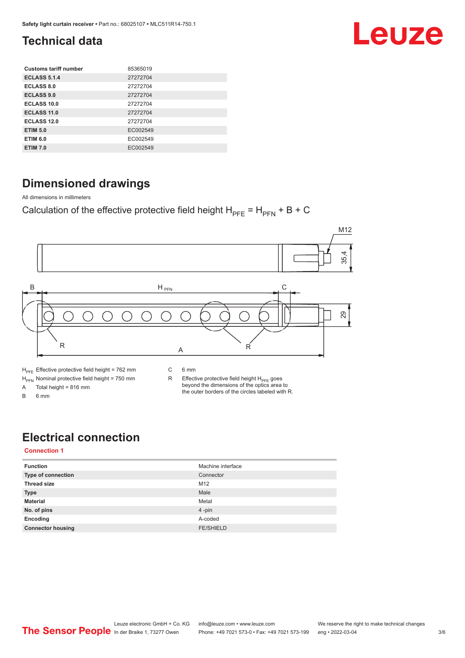## Leuze

## <span id="page-2-0"></span>**Technical data**

| <b>Customs tariff number</b> | 85365019 |
|------------------------------|----------|
| <b>ECLASS 5.1.4</b>          | 27272704 |
| ECLASS 8.0                   | 27272704 |
| <b>ECLASS 9.0</b>            | 27272704 |
| ECLASS 10.0                  | 27272704 |
| <b>ECLASS 11.0</b>           | 27272704 |
| ECLASS 12.0                  | 27272704 |
| <b>ETIM 5.0</b>              | EC002549 |
| <b>ETIM 6.0</b>              | EC002549 |
| <b>ETIM 7.0</b>              | EC002549 |

## **Dimensioned drawings**

All dimensions in millimeters

Calculation of the effective protective field height  $H_{PFE} = H_{PFN} + B + C$ 



## **Electrical connection**

#### **Connection 1**

| <b>Function</b>          | Machine interface |
|--------------------------|-------------------|
| Type of connection       | Connector         |
| <b>Thread size</b>       | M12               |
| <b>Type</b>              | Male              |
| <b>Material</b>          | Metal             |
| No. of pins              | 4-pin             |
| Encoding                 | A-coded           |
| <b>Connector housing</b> | <b>FE/SHIELD</b>  |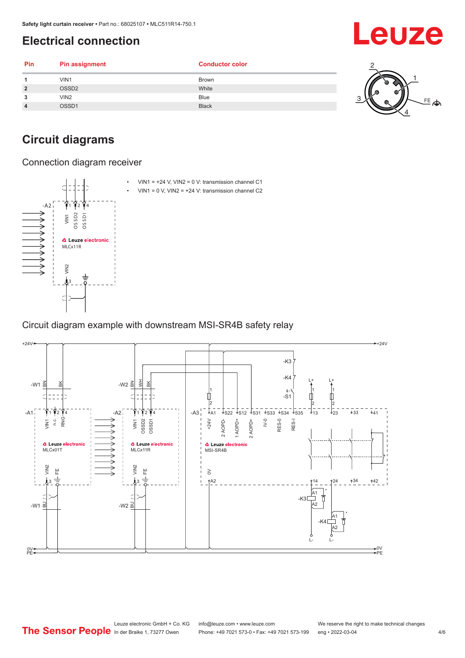## <span id="page-3-0"></span>**Electrical connection**

| Pin            | <b>Pin assignment</b> | <b>Conductor color</b> |        |
|----------------|-----------------------|------------------------|--------|
|                | VIN1                  | <b>Brown</b>           |        |
| $\overline{2}$ | OSSD <sub>2</sub>     | White                  | z<br>ш |
| 3              | VIN2                  | Blue                   |        |
| $\overline{4}$ | OSSD1                 | <b>Black</b>           |        |
|                |                       |                        |        |

## **Circuit diagrams**

Connection diagram receiver



Circuit diagram example with downstream MSI-SR4B safety relay



#### Leuze electronic GmbH + Co. KG info@leuze.com • www.leuze.com We reserve the right to make technical changes<br>
The Sensor People in der Braike 1, 73277 Owen Phone: +49 7021 573-0 • Fax: +49 7021 573-199 eng • 2022-03-04 Phone: +49 7021 573-0 • Fax: +49 7021 573-199 eng • 2022-03-04 4/6

Leuze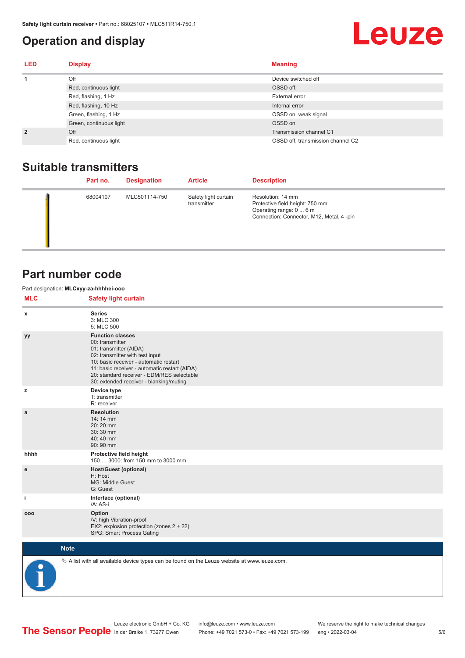### <span id="page-4-0"></span>**Operation and display**

## **Leuze**

| <b>LED</b>     | <b>Display</b>          | <b>Meaning</b>                    |
|----------------|-------------------------|-----------------------------------|
| 1              | Off                     | Device switched off               |
|                | Red, continuous light   | OSSD off.                         |
|                | Red, flashing, 1 Hz     | External error                    |
|                | Red, flashing, 10 Hz    | Internal error                    |
|                | Green, flashing, 1 Hz   | OSSD on, weak signal              |
|                | Green, continuous light | OSSD on                           |
| $\overline{2}$ | Off                     | Transmission channel C1           |
|                | Red, continuous light   | OSSD off, transmission channel C2 |

### **Suitable transmitters**

| Part no. | <b>Designation</b> | <b>Article</b>                      | <b>Description</b>                                                                                                          |
|----------|--------------------|-------------------------------------|-----------------------------------------------------------------------------------------------------------------------------|
| 68004107 | MLC501T14-750      | Safety light curtain<br>transmitter | Resolution: 14 mm<br>Protective field height: 750 mm<br>Operating range: 0  6 m<br>Connection: Connector, M12, Metal, 4-pin |

### **Part number code**

Part designation: **MLCxyy-za-hhhhei-ooo**

**MLC Safety light curtain**

| <b>IVIL-</b> | Salety light curtain                                                                                                                                                                                                                                                                        |  |  |  |  |  |
|--------------|---------------------------------------------------------------------------------------------------------------------------------------------------------------------------------------------------------------------------------------------------------------------------------------------|--|--|--|--|--|
| x            | <b>Series</b><br>3: MLC 300<br>5: MLC 500                                                                                                                                                                                                                                                   |  |  |  |  |  |
| уу           | <b>Function classes</b><br>00: transmitter<br>01: transmitter (AIDA)<br>02: transmitter with test input<br>10: basic receiver - automatic restart<br>11: basic receiver - automatic restart (AIDA)<br>20: standard receiver - EDM/RES selectable<br>30: extended receiver - blanking/muting |  |  |  |  |  |
| z            | Device type<br>T: transmitter<br>R: receiver                                                                                                                                                                                                                                                |  |  |  |  |  |
| a            | <b>Resolution</b><br>14: 14 mm<br>20:20 mm<br>30:30 mm<br>40:40 mm<br>90: 90 mm                                                                                                                                                                                                             |  |  |  |  |  |
| hhhh         | Protective field height<br>150  3000: from 150 mm to 3000 mm                                                                                                                                                                                                                                |  |  |  |  |  |
| e            | <b>Host/Guest (optional)</b><br>H: Host<br>MG: Middle Guest<br>G: Guest                                                                                                                                                                                                                     |  |  |  |  |  |
| j.           | Interface (optional)<br>/A: AS-i                                                                                                                                                                                                                                                            |  |  |  |  |  |
| 000          | Option<br>/V: high Vibration-proof<br>EX2: explosion protection (zones 2 + 22)<br>SPG: Smart Process Gating                                                                                                                                                                                 |  |  |  |  |  |
|              | <b>Note</b>                                                                                                                                                                                                                                                                                 |  |  |  |  |  |
| ◚            | $\&$ A list with all available device types can be found on the Leuze website at www.leuze.com.                                                                                                                                                                                             |  |  |  |  |  |

In der Braike 1, 73277 Owen Phone: +49 7021 573-0 • Fax: +49 7021 573-199 eng • 2022-03-04

Leuze electronic GmbH + Co. KG info@leuze.com • www.leuze.com We reserve the right to make technical changes